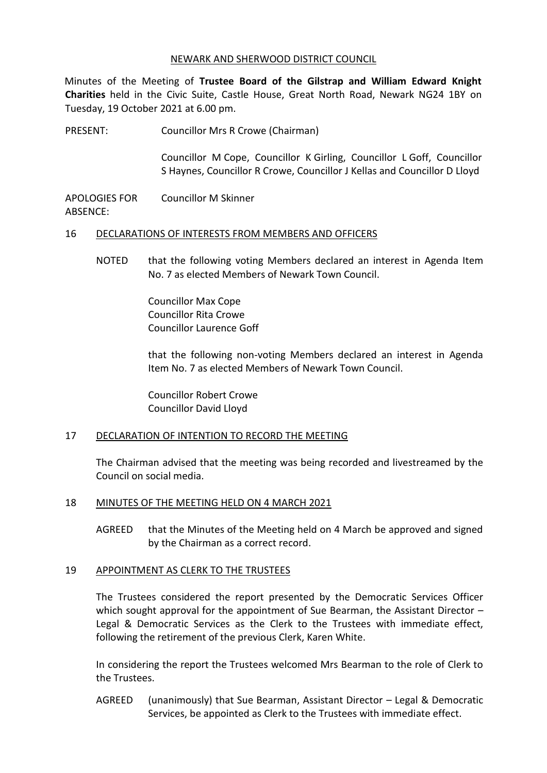#### NEWARK AND SHERWOOD DISTRICT COUNCIL

Minutes of the Meeting of **Trustee Board of the Gilstrap and William Edward Knight Charities** held in the Civic Suite, Castle House, Great North Road, Newark NG24 1BY on Tuesday, 19 October 2021 at 6.00 pm.

PRESENT: Councillor Mrs R Crowe (Chairman)

Councillor M Cope, Councillor K Girling, Councillor L Goff, Councillor S Haynes, Councillor R Crowe, Councillor J Kellas and Councillor D Lloyd

APOLOGIES FOR ABSENCE: Councillor M Skinner

#### 16 DECLARATIONS OF INTERESTS FROM MEMBERS AND OFFICERS

NOTED that the following voting Members declared an interest in Agenda Item No. 7 as elected Members of Newark Town Council.

> Councillor Max Cope Councillor Rita Crowe Councillor Laurence Goff

that the following non-voting Members declared an interest in Agenda Item No. 7 as elected Members of Newark Town Council.

Councillor Robert Crowe Councillor David Lloyd

#### 17 DECLARATION OF INTENTION TO RECORD THE MEETING

The Chairman advised that the meeting was being recorded and livestreamed by the Council on social media.

#### 18 MINUTES OF THE MEETING HELD ON 4 MARCH 2021

AGREED that the Minutes of the Meeting held on 4 March be approved and signed by the Chairman as a correct record.

#### 19 APPOINTMENT AS CLERK TO THE TRUSTEES

The Trustees considered the report presented by the Democratic Services Officer which sought approval for the appointment of Sue Bearman, the Assistant Director – Legal & Democratic Services as the Clerk to the Trustees with immediate effect, following the retirement of the previous Clerk, Karen White.

In considering the report the Trustees welcomed Mrs Bearman to the role of Clerk to the Trustees.

AGREED (unanimously) that Sue Bearman, Assistant Director – Legal & Democratic Services, be appointed as Clerk to the Trustees with immediate effect.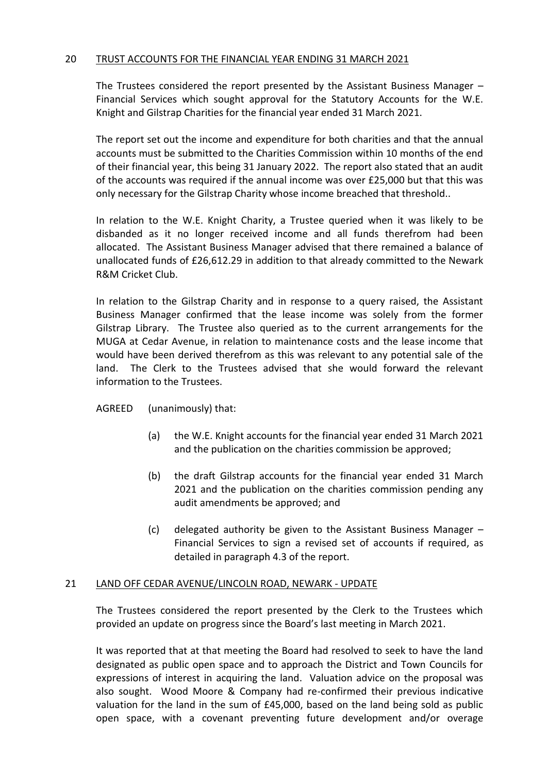## 20 TRUST ACCOUNTS FOR THE FINANCIAL YEAR ENDING 31 MARCH 2021

The Trustees considered the report presented by the Assistant Business Manager – Financial Services which sought approval for the Statutory Accounts for the W.E. Knight and Gilstrap Charities for the financial year ended 31 March 2021.

The report set out the income and expenditure for both charities and that the annual accounts must be submitted to the Charities Commission within 10 months of the end of their financial year, this being 31 January 2022. The report also stated that an audit of the accounts was required if the annual income was over £25,000 but that this was only necessary for the Gilstrap Charity whose income breached that threshold..

In relation to the W.E. Knight Charity, a Trustee queried when it was likely to be disbanded as it no longer received income and all funds therefrom had been allocated. The Assistant Business Manager advised that there remained a balance of unallocated funds of £26,612.29 in addition to that already committed to the Newark R&M Cricket Club.

In relation to the Gilstrap Charity and in response to a query raised, the Assistant Business Manager confirmed that the lease income was solely from the former Gilstrap Library. The Trustee also queried as to the current arrangements for the MUGA at Cedar Avenue, in relation to maintenance costs and the lease income that would have been derived therefrom as this was relevant to any potential sale of the land. The Clerk to the Trustees advised that she would forward the relevant information to the Trustees.

# AGREED (unanimously) that:

- (a) the W.E. Knight accounts for the financial year ended 31 March 2021 and the publication on the charities commission be approved;
- (b) the draft Gilstrap accounts for the financial year ended 31 March 2021 and the publication on the charities commission pending any audit amendments be approved; and
- (c) delegated authority be given to the Assistant Business Manager Financial Services to sign a revised set of accounts if required, as detailed in paragraph 4.3 of the report.

#### 21 LAND OFF CEDAR AVENUE/LINCOLN ROAD, NEWARK - UPDATE

The Trustees considered the report presented by the Clerk to the Trustees which provided an update on progress since the Board's last meeting in March 2021.

It was reported that at that meeting the Board had resolved to seek to have the land designated as public open space and to approach the District and Town Councils for expressions of interest in acquiring the land. Valuation advice on the proposal was also sought. Wood Moore & Company had re-confirmed their previous indicative valuation for the land in the sum of £45,000, based on the land being sold as public open space, with a covenant preventing future development and/or overage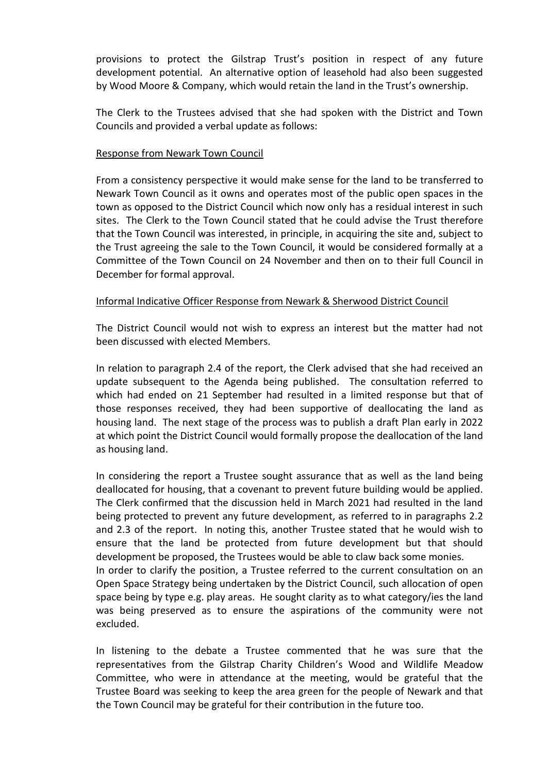provisions to protect the Gilstrap Trust's position in respect of any future development potential. An alternative option of leasehold had also been suggested by Wood Moore & Company, which would retain the land in the Trust's ownership.

The Clerk to the Trustees advised that she had spoken with the District and Town Councils and provided a verbal update as follows:

## Response from Newark Town Council

excluded.

From a consistency perspective it would make sense for the land to be transferred to Newark Town Council as it owns and operates most of the public open spaces in the town as opposed to the District Council which now only has a residual interest in such sites. The Clerk to the Town Council stated that he could advise the Trust therefore that the Town Council was interested, in principle, in acquiring the site and, subject to the Trust agreeing the sale to the Town Council, it would be considered formally at a Committee of the Town Council on 24 November and then on to their full Council in December for formal approval.

## Informal Indicative Officer Response from Newark & Sherwood District Council

The District Council would not wish to express an interest but the matter had not been discussed with elected Members.

In relation to paragraph 2.4 of the report, the Clerk advised that she had received an update subsequent to the Agenda being published. The consultation referred to which had ended on 21 September had resulted in a limited response but that of those responses received, they had been supportive of deallocating the land as housing land. The next stage of the process was to publish a draft Plan early in 2022 at which point the District Council would formally propose the deallocation of the land as housing land.

In considering the report a Trustee sought assurance that as well as the land being deallocated for housing, that a covenant to prevent future building would be applied. The Clerk confirmed that the discussion held in March 2021 had resulted in the land being protected to prevent any future development, as referred to in paragraphs 2.2 and 2.3 of the report. In noting this, another Trustee stated that he would wish to ensure that the land be protected from future development but that should development be proposed, the Trustees would be able to claw back some monies. In order to clarify the position, a Trustee referred to the current consultation on an Open Space Strategy being undertaken by the District Council, such allocation of open space being by type e.g. play areas. He sought clarity as to what category/ies the land was being preserved as to ensure the aspirations of the community were not

In listening to the debate a Trustee commented that he was sure that the representatives from the Gilstrap Charity Children's Wood and Wildlife Meadow Committee, who were in attendance at the meeting, would be grateful that the Trustee Board was seeking to keep the area green for the people of Newark and that the Town Council may be grateful for their contribution in the future too.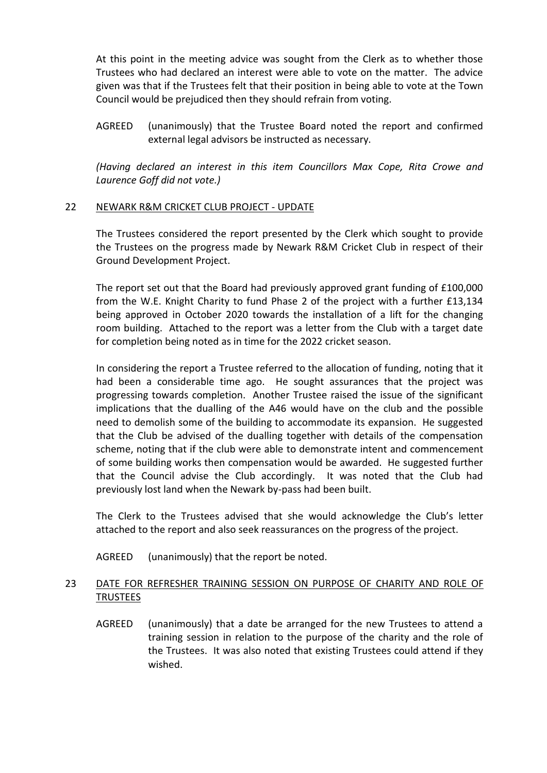At this point in the meeting advice was sought from the Clerk as to whether those Trustees who had declared an interest were able to vote on the matter. The advice given was that if the Trustees felt that their position in being able to vote at the Town Council would be prejudiced then they should refrain from voting.

AGREED (unanimously) that the Trustee Board noted the report and confirmed external legal advisors be instructed as necessary.

*(Having declared an interest in this item Councillors Max Cope, Rita Crowe and Laurence Goff did not vote.)*

#### 22 NEWARK R&M CRICKET CLUB PROJECT - UPDATE

The Trustees considered the report presented by the Clerk which sought to provide the Trustees on the progress made by Newark R&M Cricket Club in respect of their Ground Development Project.

The report set out that the Board had previously approved grant funding of £100,000 from the W.E. Knight Charity to fund Phase 2 of the project with a further £13,134 being approved in October 2020 towards the installation of a lift for the changing room building. Attached to the report was a letter from the Club with a target date for completion being noted as in time for the 2022 cricket season.

In considering the report a Trustee referred to the allocation of funding, noting that it had been a considerable time ago. He sought assurances that the project was progressing towards completion. Another Trustee raised the issue of the significant implications that the dualling of the A46 would have on the club and the possible need to demolish some of the building to accommodate its expansion. He suggested that the Club be advised of the dualling together with details of the compensation scheme, noting that if the club were able to demonstrate intent and commencement of some building works then compensation would be awarded. He suggested further that the Council advise the Club accordingly. It was noted that the Club had previously lost land when the Newark by-pass had been built.

The Clerk to the Trustees advised that she would acknowledge the Club's letter attached to the report and also seek reassurances on the progress of the project.

AGREED (unanimously) that the report be noted.

# 23 DATE FOR REFRESHER TRAINING SESSION ON PURPOSE OF CHARITY AND ROLE OF TRUSTEES

AGREED (unanimously) that a date be arranged for the new Trustees to attend a training session in relation to the purpose of the charity and the role of the Trustees. It was also noted that existing Trustees could attend if they wished.